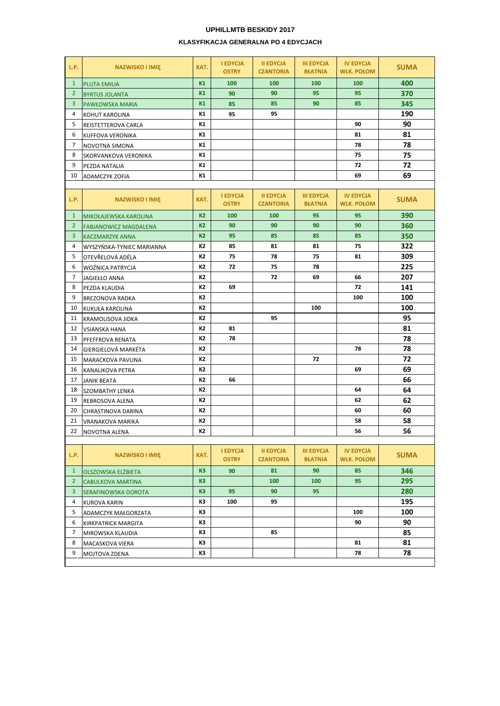## **UPHILLMTB BESKIDY 2017 KLASYFIKACJA GENERALNA PO 4 EDYCJACH**

| L.P.           | <b>NAZWISKO I IMIĘ</b>       | KAT.           | <b>I EDYCJA</b><br><b>OSTRY</b> | <b>II EDYCJA</b><br><b>CZANTORIA</b> | <b>III EDYCJA</b><br><b>BŁATNIA</b> | <b>IV EDYCJA</b><br><b>WLK. POŁOM</b> | <b>SUMA</b> |
|----------------|------------------------------|----------------|---------------------------------|--------------------------------------|-------------------------------------|---------------------------------------|-------------|
| $\mathbf{1}$   | <b>PLUTA EMILIA</b>          | K1             | 100                             | 100                                  | 100                                 | 100                                   | 400         |
| $\overline{2}$ | <b>BYRTUS JOLANTA</b>        | K1             | 90                              | 90                                   | 95                                  | 95                                    | 370         |
| 3              | <b>PAWŁOWSKA MARIA</b>       | K1             | 85                              | 85                                   | 90                                  | 85                                    | 345         |
| 4              | KOHUT KAROLINA               | K1             | 95                              | 95                                   |                                     |                                       | 190         |
| 5              | REISTETTEROVA CARLA          | К1             |                                 |                                      |                                     | 90                                    | 90          |
| 6              | KUFFOVA VERONIKA             | К1             |                                 |                                      |                                     | 81                                    | 81          |
| 7              | NOVOTNA SIMONA               | К1             |                                 |                                      |                                     | 78                                    | 78          |
| 8              | SKORVANKOVA VERONIKA         | К1             |                                 |                                      |                                     | 75                                    | 75          |
| 9              | PEZDA NATALIA                | К1             |                                 |                                      |                                     | 72                                    | 72          |
| 10             | <b>ADAMCZYK ZOFIA</b>        | К1             |                                 |                                      |                                     | 69                                    | 69          |
|                |                              |                |                                 |                                      |                                     |                                       |             |
| L.P.           | <b>NAZWISKO I IMIĘ</b>       | KAT.           | <b>I EDYCJA</b><br><b>OSTRY</b> | <b>II EDYCJA</b><br><b>CZANTORIA</b> | <b>III EDYCJA</b><br><b>BŁATNIA</b> | <b>IV EDYCJA</b><br><b>WLK. POŁOM</b> | <b>SUMA</b> |
| $\mathbf{1}$   | MIKOŁAJEWSKA KAROLINA        | K <sub>2</sub> | 100                             | 100                                  | 95                                  | 95                                    | 390         |
| 2 <sup>2</sup> | <b>FABJANOWICZ MAGDALENA</b> | K <sub>2</sub> | 90                              | 90                                   | 90                                  | 90                                    | 360         |
| $\mathbf{3}$   | <b>KACZMARZYK ANNA</b>       | K <sub>2</sub> | 95                              | 85                                   | 85                                  | 85                                    | 350         |
| 4              | WYSZYŃSKA-TYNIEC MARIANNA    | К2             | 85                              | 81                                   | 81                                  | 75                                    | 322         |
| 5              | OTEVŘELOVÁ ADÉLA             | К2             | 75                              | 78                                   | 75                                  | 81                                    | 309         |
| 6              | <b>WOŹNICA PATRYCJA</b>      | К2             | 72                              | 75                                   | 78                                  |                                       | 225         |
| 7              | <b>JAGIEŁŁO ANNA</b>         | К2             |                                 | 72                                   | 69                                  | 66                                    | 207         |
| 8              | PEZDA KLAUDIA                | К2             | 69                              |                                      |                                     | 72                                    | 141         |
| 9              | <b>BREZONOVA RADKA</b>       | К2             |                                 |                                      |                                     | 100                                   | 100         |
| 10             | <b>KUKUŁA KAROLINA</b>       | К2             |                                 |                                      | 100                                 |                                       | 100         |
| 11             | <b>KRAMOLISOVA JIDKA</b>     | К2             |                                 | 95                                   |                                     |                                       | 95          |
| 12             | <b>VSIANSKA HANA</b>         | К2             | 81                              |                                      |                                     |                                       | 81          |
| 13             | PFEFFROVA RENATA             | К2             | 78                              |                                      |                                     |                                       | 78          |
| 14             | GIERGIELOVÁ MARKÉTA          | К2             |                                 |                                      |                                     | 78                                    | 78          |
| 15             | <b>MARACKOVA PAVLINA</b>     | К2             |                                 |                                      | 72                                  |                                       | 72          |
| 16             | <b>KANALIKOVA PETRA</b>      | К2             |                                 |                                      |                                     | 69                                    | 69          |
| 17             | <b>JANIK BEATA</b>           | К2             | 66                              |                                      |                                     |                                       | 66          |
| 18             | <b>SZOMBATHY LENKA</b>       | K2             |                                 |                                      |                                     | 64                                    | 64          |
| 19             | REBROSOVA ALENA              | К2             |                                 |                                      |                                     | 62                                    | 62          |
| 20             | CHRASTINOVA DARINA           | K2             |                                 |                                      |                                     | 60                                    | 60          |
| 21             | <b>VRANAKOVA MARIKA</b>      | К2             |                                 |                                      |                                     | 58                                    | 58          |
| 22             | NOVOTNA ALENA                | K2             |                                 |                                      |                                     | 56                                    | 56          |
|                |                              |                |                                 |                                      |                                     |                                       |             |
| L.P.           | <b>NAZWISKO I IMIĘ</b>       | KAT.           | <b>I EDYCJA</b><br><b>OSTRY</b> | <b>II EDYCJA</b><br><b>CZANTORIA</b> | <b>III EDYCJA</b><br><b>BŁATNIA</b> | <b>IV EDYCJA</b><br><b>WLK. POŁOM</b> | <b>SUMA</b> |
| $\mathbf{1}$   | <b>OLSZOWSKA ELŻBIETA</b>    | K <sub>3</sub> | 90                              | 81                                   | 90                                  | 85                                    | 346         |
| $\overline{2}$ | <b>CABULKOVA MARTINA</b>     | K <sub>3</sub> |                                 | 100                                  | 100                                 | 95                                    | 295         |
| 3              | SERAFINOWSKA DOROTA          | K3             | 95                              | 90                                   | 95                                  |                                       | 280         |
| 4              | <b>KUROVA KARIN</b>          | KЗ             | 100                             | 95                                   |                                     |                                       | 195         |
| 5              | ADAMCZYK MAŁGORZATA          | KЗ             |                                 |                                      |                                     | 100                                   | 100         |
| 6              | <b>KIRKPATRICK MARGITA</b>   | KЗ             |                                 |                                      |                                     | 90                                    | 90          |
| 7              | MIROWSKA KLAUDIA             | K3             |                                 | 85                                   |                                     |                                       | 85          |
| 8              | MACASKOVA VIERA              | K3             |                                 |                                      |                                     | 81                                    | 81          |
| 9              | MOJTOVA ZDENA                | K3             |                                 |                                      |                                     | 78                                    | 78          |
|                |                              |                |                                 |                                      |                                     |                                       |             |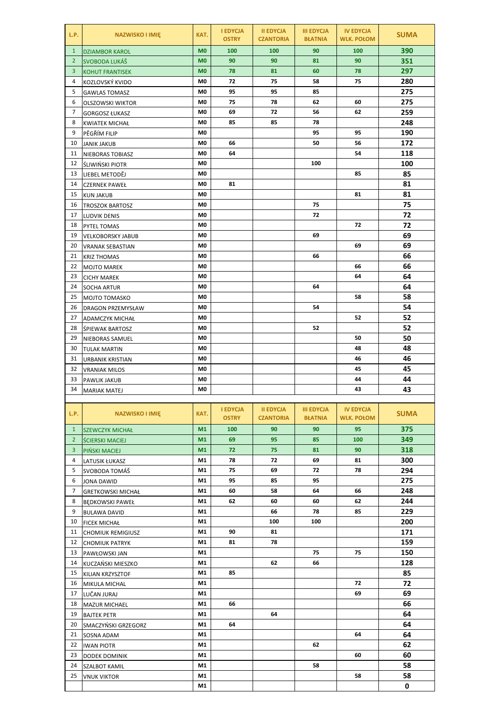| L.P.           | <b>NAZWISKO I IMIĘ</b>   | KAT.           | <b>I EDYCJA</b><br><b>OSTRY</b> | <b>II EDYCJA</b><br><b>CZANTORIA</b> | <b>III EDYCJA</b><br><b>BŁATNIA</b> | <b>IV EDYCJA</b><br><b>WLK. POŁOM</b> | <b>SUMA</b> |
|----------------|--------------------------|----------------|---------------------------------|--------------------------------------|-------------------------------------|---------------------------------------|-------------|
| $\mathbf{1}$   | <b>DZIAMBOR KAROL</b>    | M <sub>0</sub> | 100                             | 100                                  | 90                                  | 100                                   | 390         |
| $\overline{2}$ | SVOBODA LUKÁŠ            | M <sub>0</sub> | 90                              | 90                                   | 81                                  | 90                                    | 351         |
| 3              | <b>KOHUT FRANTISEK</b>   | <b>MO</b>      | 78                              | 81                                   | 60                                  | 78                                    | 297         |
| 4              | KOZLOVSKÝ KVIDO          | M0             | 72                              | 75                                   | 58                                  | 75                                    | 280         |
| 5              | <b>GAWLAS TOMASZ</b>     | M0             | 95                              | 95                                   | 85                                  |                                       | 275         |
| 6              | <b>OLSZOWSKI WIKTOR</b>  | M0             | 75                              | 78                                   | 62                                  | 60                                    | 275         |
| $\overline{7}$ | <b>GORGOSZ ŁUKASZ</b>    | M <sub>0</sub> | 69                              | 72                                   | 56                                  | 62                                    | 259         |
| 8              | <b>KWIATEK MICHAŁ</b>    | M <sub>0</sub> | 85                              | 85                                   | 78                                  |                                       | 248         |
| 9              | PĚGŘÍM FILIP             | M <sub>0</sub> |                                 |                                      | 95                                  | 95                                    | 190         |
| 10             | <b>JANIK JAKUB</b>       | M0             | 66                              |                                      | 50                                  | 56                                    | 172         |
| 11             | NIEBORAS TOBIASZ         | M0             | 64                              |                                      |                                     | 54                                    | 118         |
| 12             | <b>ŚLIWIŃSKI PIOTR</b>   | M0             |                                 |                                      | 100                                 |                                       | 100         |
| 13             | LIEBEL METODĚJ           | M0             |                                 |                                      |                                     | 85                                    | 85          |
| 14             | <b>CZERNEK PAWEŁ</b>     | M0             | 81                              |                                      |                                     |                                       | 81          |
| 15             | <b>KUN JAKUB</b>         | M0             |                                 |                                      |                                     | 81                                    | 81          |
| 16             | <b>TROSZOK BARTOSZ</b>   | M0             |                                 |                                      | 75                                  |                                       | 75          |
| 17             | LUDVIK DENIS             | M0             |                                 |                                      | 72                                  |                                       | 72          |
| 18             | PYTEL TOMAS              | M0             |                                 |                                      |                                     | 72                                    | 72          |
| 19             | <b>VELKOBORSKY JABUB</b> | M0             |                                 |                                      | 69                                  |                                       | 69          |
| 20             | <b>VRANAK SEBASTIAN</b>  | M0             |                                 |                                      |                                     | 69                                    | 69          |
| 21             | <b>KRIZ THOMAS</b>       | M0             |                                 |                                      | 66                                  |                                       | 66          |
| 22             | <b>MOJTO MAREK</b>       | M0             |                                 |                                      |                                     | 66                                    | 66          |
| 23             | <b>CICHY MAREK</b>       | M0             |                                 |                                      |                                     | 64                                    | 64          |
| 24             | <b>SOCHA ARTUR</b>       | M0             |                                 |                                      | 64                                  |                                       | 64          |
| 25             | <b>MOJTO TOMASKO</b>     | M0             |                                 |                                      |                                     | 58                                    | 58          |
| 26             | <b>DRAGON PRZEMYSŁAW</b> | M0             |                                 |                                      | 54                                  |                                       | 54          |
| 27             | <b>ADAMCZYK MICHAŁ</b>   | M0             |                                 |                                      |                                     | 52                                    | 52          |
| 28             | <b>SPIEWAK BARTOSZ</b>   | M0             |                                 |                                      | 52                                  |                                       | 52          |
| 29             | NIEBORAS SAMUEL          | M0             |                                 |                                      |                                     | 50                                    | 50          |
| 30             | <b>TULAK MARTIN</b>      | M0             |                                 |                                      |                                     | 48                                    | 48          |
| 31             | <b>URBANIK KRISTIAN</b>  | M0             |                                 |                                      |                                     | 46                                    | 46          |
| 32             | <b>VRANIAK MILOS</b>     | M0             |                                 |                                      |                                     | 45                                    | 45          |
| 33             | PAWLIK JAKUB             | M0             |                                 |                                      |                                     | 44                                    | 44          |
| 34             | <b>MARIAK MATEJ</b>      | M0             |                                 |                                      |                                     | 43                                    | 43          |
|                |                          |                |                                 |                                      |                                     |                                       |             |
| L.P.           | <b>NAZWISKO I IMIĘ</b>   | KAT.           | <b>I EDYCJA</b><br><b>OSTRY</b> | <b>II EDYCJA</b><br><b>CZANTORIA</b> | <b>III EDYCJA</b><br><b>BŁATNIA</b> | <b>IV EDYCJA</b><br><b>WLK. POŁOM</b> | <b>SUMA</b> |
| $\mathbf{1}$   | <b>SZEWCZYK MICHAŁ</b>   | M1             | 100                             | 90                                   | 90                                  | 95                                    | 375         |
| $\overline{2}$ | <b>SCIERSKI MACIEJ</b>   | M1             | 69                              | 95                                   | 85                                  | 100                                   | 349         |
| 3              | PIŃSKI MACIEJ            | M1             | 72                              | 75                                   | 81                                  | 90                                    | 318         |
| 4              | LATUSIK ŁUKASZ           | M1             | 78                              | 72                                   | 69                                  | 81                                    | 300         |
| 5              | SVOBODA TOMÁŠ            | M1             | 75                              | 69                                   | 72                                  | 78                                    | 294         |
| 6              | <b>JONA DAWID</b>        | M1             | 95                              | 85                                   | 95                                  |                                       | 275         |
| 7              | <b>GRETKOWSKI MICHAŁ</b> | M1             | 60                              | 58                                   | 64                                  | 66                                    | 248         |
| 8              | <b>BEDKOWSKI PAWEŁ</b>   | M1             | 62                              | 60                                   | 60                                  | 62                                    | 244         |
| 9              | <b>BULAWA DAVID</b>      | M1             |                                 | 66                                   | 78                                  | 85                                    | 229         |
| 10             | <b>FICEK MICHAŁ</b>      | M1             |                                 | 100                                  | 100                                 |                                       | 200         |
| 11             | <b>CHOMIUK REMIGIUSZ</b> | M1             | 90                              | 81                                   |                                     |                                       | 171         |
| 12             | <b>CHOMIUK PATRYK</b>    | M1             | 81                              | 78                                   |                                     |                                       | 159         |
| 13             | PAWŁOWSKI JAN            | M1             |                                 |                                      | 75                                  | 75                                    | 150         |
| 14             | KUCZAŃSKI MIESZKO        | M1             |                                 | 62                                   | 66                                  |                                       | 128         |
| 15             | KILIAN KRZYSZTOF         | M1             | 85                              |                                      |                                     |                                       | 85          |
| 16             | MIKULA MICHAL            | M1             |                                 |                                      |                                     | 72                                    | 72          |
| 17             | LUČAN JURAJ              | M1             |                                 |                                      |                                     | 69                                    | 69          |
| 18             | <b>MAZUR MICHAEL</b>     | M1             | 66                              |                                      |                                     |                                       | 66          |
| 19             | <b>BAJTEK PETR</b>       | M1             |                                 | 64                                   |                                     |                                       | 64          |
| 20             | SMACZYŃSKI GRZEGORZ      | M1             | 64                              |                                      |                                     |                                       | 64          |
| 21             | SOSNA ADAM               | M1             |                                 |                                      |                                     | 64                                    | 64          |
| 22             | <b>IWAN PIOTR</b>        | M1             |                                 |                                      | 62                                  |                                       | 62          |
| 23             | <b>DODEK DOMINIK</b>     | M1             |                                 |                                      |                                     | 60                                    | 60          |
| 24             | <b>SZALBOT KAMIL</b>     | M1             |                                 |                                      | 58                                  |                                       | 58          |
| 25             | <b>VNUK VIKTOR</b>       | M1             |                                 |                                      |                                     | 58                                    | 58          |
|                |                          | M1             |                                 |                                      |                                     |                                       | 0           |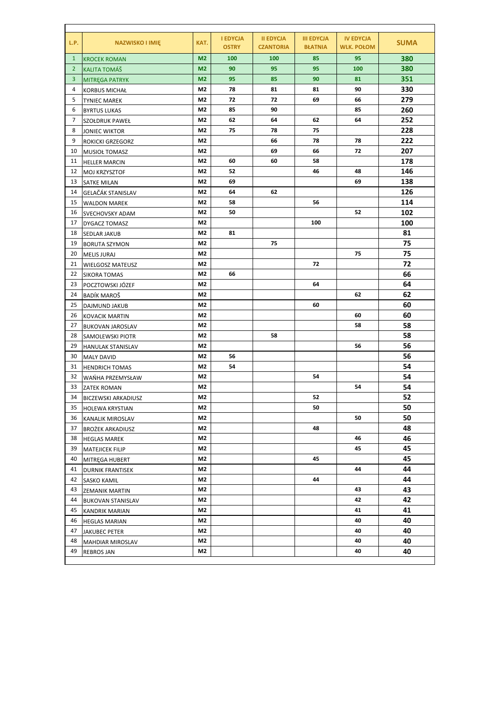| L.P.           | <b>NAZWISKO I IMIĘ</b>     | KAT.           | <b>I EDYCJA</b><br><b>OSTRY</b> | <b>II EDYCJA</b><br><b>CZANTORIA</b> | <b>III EDYCJA</b><br><b>BŁATNIA</b> | <b>IV EDYCJA</b><br><b>WLK. POŁOM</b> | <b>SUMA</b> |
|----------------|----------------------------|----------------|---------------------------------|--------------------------------------|-------------------------------------|---------------------------------------|-------------|
| $\mathbf{1}$   | <b>KROCEK ROMAN</b>        | M <sub>2</sub> | 100                             | 100                                  | 85                                  | 95                                    | 380         |
| $\overline{2}$ | <b>KALITA TOMÁŠ</b>        | M <sub>2</sub> | 90                              | 95                                   | 95                                  | 100                                   | 380         |
| 3              | <b>MITREGA PATRYK</b>      | M <sub>2</sub> | 95                              | 85                                   | 90                                  | 81                                    | 351         |
| 4              | <b>KORBUS MICHAŁ</b>       | M2             | 78                              | 81                                   | 81                                  | 90                                    | 330         |
| 5              | <b>TYNIEC MAREK</b>        | M2             | 72                              | 72                                   | 69                                  | 66                                    | 279         |
| 6              | <b>BYRTUS LUKAS</b>        | M2             | 85                              | 90                                   |                                     | 85                                    | 260         |
| 7              | SZOŁDRUK PAWEŁ             | M2             | 62                              | 64                                   | 62                                  | 64                                    | 252         |
| 8              | <b>JONIEC WIKTOR</b>       | M2             | 75                              | 78                                   | 75                                  |                                       | 228         |
| 9              | ROKICKI GRZEGORZ           | M2             |                                 | 66                                   | 78                                  | 78                                    | 222         |
| 10             | <b>MUSIOŁ TOMASZ</b>       | M2             |                                 | 69                                   | 66                                  | 72                                    | 207         |
| 11             | <b>HELLER MARCIN</b>       | M2             | 60                              | 60                                   | 58                                  |                                       | 178         |
| 12             | <b>MOJ KRZYSZTOF</b>       | M2             | 52                              |                                      | 46                                  | 48                                    | 146         |
| 13             | SATKE MILAN                | M2             | 69                              |                                      |                                     | 69                                    | 138         |
| 14             | GELAČÁK STANISLAV          | M2             | 64                              | 62                                   |                                     |                                       | 126         |
| 15             | <b>WALDON MAREK</b>        | M2             | 58                              |                                      | 56                                  |                                       | 114         |
| 16             | SVECHOVSKY ADAM            | M2             | 50                              |                                      |                                     | 52                                    | 102         |
| 17             | DYGACZ TOMASZ              | M2             |                                 |                                      | 100                                 |                                       | 100         |
| 18             | SEDLAR JAKUB               | M2             | 81                              |                                      |                                     |                                       | 81          |
| 19             | <b>BORUTA SZYMON</b>       | M2             |                                 | 75                                   |                                     |                                       | 75          |
| 20             | <b>MELIS JURAJ</b>         | M2             |                                 |                                      |                                     | 75                                    | 75          |
| 21             | <b>WIELGOSZ MATEUSZ</b>    | M2             |                                 |                                      | 72                                  |                                       | 72          |
| 22             | <b>SIKORA TOMAS</b>        | M2             | 66                              |                                      |                                     |                                       | 66          |
| 23             | POCZTOWSKI JÓZEF           | M2             |                                 |                                      | 64                                  |                                       | 64          |
| 24             | BADÍK MAROŠ                | M2             |                                 |                                      |                                     | 62                                    | 62          |
| 25             | <b>DAJMUND JAKUB</b>       | M2             |                                 |                                      | 60                                  |                                       | 60          |
| 26             | <b>KOVACIK MARTIN</b>      | M2             |                                 |                                      |                                     | 60                                    | 60          |
| 27             | <b>BUKOVAN JAROSLAV</b>    | M2             |                                 |                                      |                                     | 58                                    | 58          |
| 28             | SAMOLEWSKI PIOTR           | M2             |                                 | 58                                   |                                     |                                       | 58          |
| 29             | <b>HANULAK STANISLAV</b>   | M2             |                                 |                                      |                                     | 56                                    | 56          |
| 30             | <b>MALY DAVID</b>          | M2             | 56                              |                                      |                                     |                                       | 56          |
| 31             | <b>HENDRICH TOMAS</b>      | M2             | 54                              |                                      |                                     |                                       | 54          |
| 32             | WANHA PRZEMYSŁAW           | M2             |                                 |                                      | 54                                  |                                       | 54          |
| 33             | <b>ZATEK ROMAN</b>         | M2             |                                 |                                      |                                     | 54                                    | 54          |
| 34             | <b>BICZEWSKI ARKADIUSZ</b> | M2             |                                 |                                      | 52                                  |                                       | 52          |
| 35             | <b>HOLEWA KRYSTIAN</b>     | M <sub>2</sub> |                                 |                                      | 50                                  |                                       | 50          |
| 36             | KANALIK MIROSLAV           | M2             |                                 |                                      |                                     | 50                                    | 50          |
| 37             | <b>BROŻEK ARKADIUSZ</b>    | M2             |                                 |                                      | 48                                  |                                       | 48          |
| 38             | <b>HEGLAS MAREK</b>        | M2             |                                 |                                      |                                     | 46                                    | 46          |
| 39             | MATEJICEK FILIP            | M2             |                                 |                                      |                                     | 45                                    | 45          |
| 40             | MITREGA HUBERT             | M2             |                                 |                                      | 45                                  |                                       | 45          |
| 41             | <b>DURNIK FRANTISEK</b>    | M2             |                                 |                                      |                                     | 44                                    | 44          |
| 42             | <b>SASKO KAMIL</b>         | M2             |                                 |                                      | 44                                  |                                       | 44          |
| 43             | <b>ZEMANIK MARTIN</b>      | M2             |                                 |                                      |                                     | 43                                    | 43          |
| 44             | <b>BUKOVAN STANISLAV</b>   | M2             |                                 |                                      |                                     | 42                                    | 42          |
| 45             | KANDRIK MARIAN             | M2             |                                 |                                      |                                     | 41                                    | 41          |
| 46             | <b>HEGLAS MARIAN</b>       | M2             |                                 |                                      |                                     | 40                                    | 40          |
| 47             | JAKUBEC PETER              | M2             |                                 |                                      |                                     | 40                                    | 40          |
| 48             | MAHDIAR MIROSLAV           | M2             |                                 |                                      |                                     | 40                                    | 40          |
| 49             | <b>REBROS JAN</b>          | M2             |                                 |                                      |                                     | 40                                    | 40          |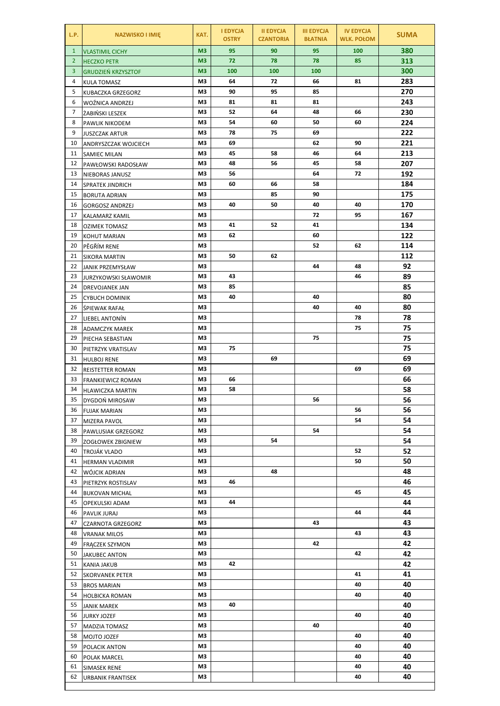| L.P.           | <b>NAZWISKO I IMIĘ</b>                      | KAT.           | <b>I EDYCJA</b><br><b>OSTRY</b> | <b>II EDYCJA</b><br><b>CZANTORIA</b> | <b>III EDYCJA</b><br><b>BŁATNIA</b> | <b>IV EDYCJA</b><br><b>WLK. POŁOM</b> | <b>SUMA</b> |
|----------------|---------------------------------------------|----------------|---------------------------------|--------------------------------------|-------------------------------------|---------------------------------------|-------------|
| $\mathbf{1}$   | <b>VLASTIMIL CICHY</b>                      | M <sub>3</sub> | 95                              | 90                                   | 95                                  | 100                                   | 380         |
| $\overline{2}$ | <b>HECZKO PETR</b>                          | M <sub>3</sub> | 72                              | 78                                   | 78                                  | 85                                    | 313         |
| 3              | <b>GRUDZIEŃ KRZYSZTOF</b>                   | M <sub>3</sub> | 100                             | 100                                  | 100                                 |                                       | 300         |
| 4              | <b>KULA TOMASZ</b>                          | M3             | 64                              | 72                                   | 66                                  | 81                                    | 283         |
| 5              | KUBACZKA GRZEGORZ                           | M3             | 90                              | 95                                   | 85                                  |                                       | 270         |
| 6              | WOŹNICA ANDRZEJ                             | M3             | 81                              | 81                                   | 81                                  |                                       | 243         |
| 7              | ŻABIŃSKI LESZEK                             | MЗ             | 52                              | 64                                   | 48                                  | 66                                    | 230         |
| 8              | PAWLIK NIKODEM                              | MЗ             | 54                              | 60                                   | 50                                  | 60                                    | 224         |
| 9              | <b>JUSZCZAK ARTUR</b>                       | M3             | 78                              | 75                                   | 69                                  |                                       | 222         |
| 10             | ANDRYSZCZAK WOJCIECH                        | MЗ             | 69                              |                                      | 62                                  | 90                                    | 221         |
| 11             | SAMIEC MILAN                                | M3             | 45                              | 58                                   | 46                                  | 64                                    | 213         |
| 12             | PAWŁOWSKI RADOSŁAW                          | MЗ             | 48                              | 56                                   | 45                                  | 58                                    | 207         |
| 13             | NIEBORAS JANUSZ                             | MЗ             | 56                              |                                      | 64                                  | 72                                    | 192         |
| 14             | SPRATEK JINDRICH                            | M3             | 60                              | 66                                   | 58                                  |                                       | 184         |
| 15<br>16       | <b>BORUTA ADRIAN</b>                        | MЗ<br>MЗ       | 40                              | 85<br>50                             | 90<br>40                            | 40                                    | 175<br>170  |
| 17             | <b>GORGOSZ ANDRZEJ</b>                      | MЗ             |                                 |                                      | 72                                  | 95                                    | 167         |
| 18             | KALAMARZ KAMIL                              | MЗ             | 41                              | 52                                   | 41                                  |                                       | 134         |
| 19             | <b>OZIMEK TOMASZ</b><br><b>KOHUT MARIAN</b> | M3             | 62                              |                                      | 60                                  |                                       | 122         |
| 20             | PĚGŘÍM RENE                                 | MЗ             |                                 |                                      | 52                                  | 62                                    | 114         |
| 21             | <b>SIKORA MARTIN</b>                        | MЗ             | 50                              | 62                                   |                                     |                                       | 112         |
| 22             | JANIK PRZEMYSŁAW                            | M3             |                                 |                                      | 44                                  | 48                                    | 92          |
| 23             | JURZYKOWSKI SŁAWOMIR                        | M3             | 43                              |                                      |                                     | 46                                    | 89          |
| 24             | DREVOJANEK JAN                              | M3             | 85                              |                                      |                                     |                                       | 85          |
| 25             | <b>CYBUCH DOMINIK</b>                       | MЗ             | 40                              |                                      | 40                                  |                                       | 80          |
| 26             | <b>SPIEWAK RAFAŁ</b>                        | MЗ             |                                 |                                      | 40                                  | 40                                    | 80          |
| 27             | LIEBEL ANTONÍN                              | MЗ             |                                 |                                      |                                     | 78                                    | 78          |
| 28             | <b>ADAMCZYK MAREK</b>                       | MЗ             |                                 |                                      |                                     | 75                                    | 75          |
| 29             | PIECHA SEBASTIAN                            | MЗ             |                                 |                                      | 75                                  |                                       | 75          |
| 30             | PIETRZYK VRATISLAV                          | MЗ             | 75                              |                                      |                                     |                                       | 75          |
| 31             | <b>HULBOJ RENE</b>                          | M3             |                                 | 69                                   |                                     |                                       | 69          |
| 32             | REISTETTER ROMAN                            | MЗ             |                                 |                                      |                                     | 69                                    | 69          |
| 33             | <b>FRANKIEWICZ ROMAN</b>                    | MЗ             | 66                              |                                      |                                     |                                       | 66          |
| 34             | <b>HLAWICZKA MARTIN</b>                     | M3             | 58                              |                                      |                                     |                                       | 58          |
| 35             | DYGDOŃ MIROSAW                              | M3             |                                 |                                      | 56                                  |                                       | 56          |
| 36             | <b>FUJAK MARIAN</b>                         | M3             |                                 |                                      |                                     | 56                                    | 56          |
| 37             | <b>MIZERA PAVOL</b>                         | M3             |                                 |                                      |                                     | 54                                    | 54          |
| 38             | PAWLUSIAK GRZEGORZ                          | M3             |                                 |                                      | 54                                  |                                       | 54          |
| 39             | ZOGŁOWEK ZBIGNIEW                           | M3             |                                 | 54                                   |                                     |                                       | 54          |
| 40             | TROJÁK VLADO                                | M3             |                                 |                                      |                                     | 52                                    | 52          |
| 41             | <b>HERMAN VLADIMIR</b>                      | M3             |                                 |                                      |                                     | 50                                    | 50          |
| 42             | WÓJCIK ADRIAN                               | M3             |                                 | 48                                   |                                     |                                       | 48          |
| 43             | PIETRZYK ROSTISLAV                          | M3             | 46                              |                                      |                                     |                                       | 46          |
| 44             | <b>BUKOVAN MICHAL</b>                       | M3             |                                 |                                      |                                     | 45                                    | 45          |
| 45             | OPEKULSKI ADAM                              | M3             | 44                              |                                      |                                     |                                       | 44          |
| 46             | PAVLIK JURAJ                                | M3             |                                 |                                      |                                     | 44                                    | 44          |
| 47             | CZARNOTA GRZEGORZ                           | M3             |                                 |                                      | 43                                  |                                       | 43          |
| 48             | <b>VRANAK MILOS</b>                         | M3             |                                 |                                      |                                     | 43                                    | 43          |
| 49             | FRĄCZEK SZYMON                              | M3             |                                 |                                      | 42                                  |                                       | 42          |
| 50             | <b>JAKUBEC ANTON</b>                        | M3             |                                 |                                      |                                     | 42                                    | 42          |
| 51             | <b>KANIA JAKUB</b>                          | MЗ             | 42                              |                                      |                                     |                                       | 42          |
| 52             | <b>SKORVANEK PETER</b>                      | M3             |                                 |                                      |                                     | 41                                    | 41          |
| 53             | <b>BROS MARIAN</b>                          | M3             |                                 |                                      |                                     | 40<br>40                              | 40<br>40    |
| 54<br>55       | <b>HOLBICKA ROMAN</b>                       | M3<br>M3       | 40                              |                                      |                                     |                                       | 40          |
| 56             | <b>JANIK MAREK</b>                          | M3             |                                 |                                      |                                     | 40                                    | 40          |
| 57             | <b>JURKY JOZEF</b>                          | M3             |                                 |                                      | 40                                  |                                       | 40          |
| 58             | MADZIA TOMASZ<br>MOJTO JOZEF                | M3             |                                 |                                      |                                     | 40                                    | 40          |
| 59             | POLACIK ANTON                               | M3             |                                 |                                      |                                     | 40                                    | 40          |
| 60             | POLAK MARCEL                                | M3             |                                 |                                      |                                     | 40                                    | 40          |
| 61             | SIMASEK RENE                                | M3             |                                 |                                      |                                     | 40                                    | 40          |
| 62             | URBANIK FRANTISEK                           | M3             |                                 |                                      |                                     | 40                                    | 40          |
|                |                                             |                |                                 |                                      |                                     |                                       |             |